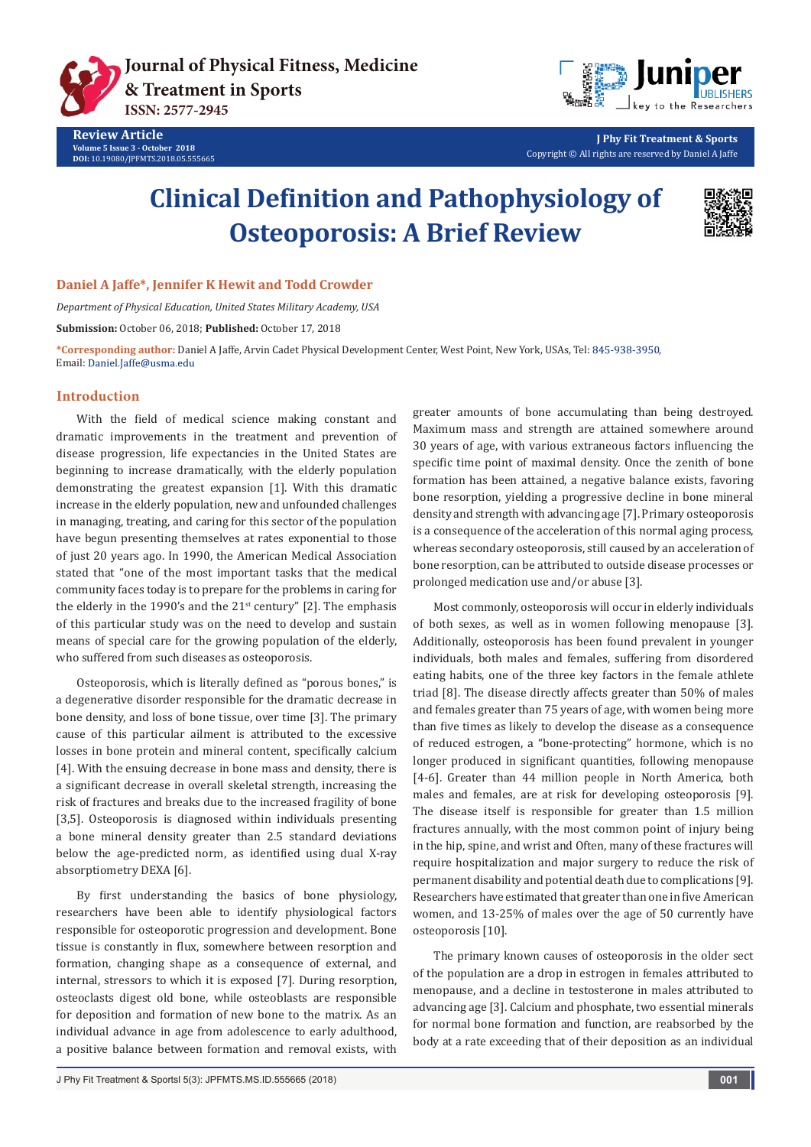

**Review Article Volume 5 Issue 3 - October 2018 DOI:** [10.19080/JPFMTS.2018.05.555665](http://dx.doi.org/10.19080/jpfmts.2018.05.555665)



**J Phy Fit Treatment & Sports** Copyright © All rights are reserved by Daniel A Jaffe

# **Clinical Definition and Pathophysiology of Osteoporosis: A Brief Review**



#### **Daniel A Jaffe\*, Jennifer K Hewit and Todd Crowder**

*Department of Physical Education, United States Military Academy, USA*

**Submission:** October 06, 2018; **Published:** October 17, 2018

\*Corresponding author: Daniel A Jaffe, Arvin Cadet Physical Development Center, West Point, New York, USAs, Tel: 845-938-3950, Email: Daniel.Jaffe@usma.edu

### **Introduction**

With the field of medical science making constant and dramatic improvements in the treatment and prevention of disease progression, life expectancies in the United States are beginning to increase dramatically, with the elderly population demonstrating the greatest expansion [1]. With this dramatic increase in the elderly population, new and unfounded challenges in managing, treating, and caring for this sector of the population have begun presenting themselves at rates exponential to those of just 20 years ago. In 1990, the American Medical Association stated that "one of the most important tasks that the medical community faces today is to prepare for the problems in caring for the elderly in the 1990's and the  $21<sup>st</sup>$  century" [2]. The emphasis of this particular study was on the need to develop and sustain means of special care for the growing population of the elderly, who suffered from such diseases as osteoporosis.

Osteoporosis, which is literally defined as "porous bones," is a degenerative disorder responsible for the dramatic decrease in bone density, and loss of bone tissue, over time [3]. The primary cause of this particular ailment is attributed to the excessive losses in bone protein and mineral content, specifically calcium [4]. With the ensuing decrease in bone mass and density, there is a significant decrease in overall skeletal strength, increasing the risk of fractures and breaks due to the increased fragility of bone [3,5]. Osteoporosis is diagnosed within individuals presenting a bone mineral density greater than 2.5 standard deviations below the age-predicted norm, as identified using dual X-ray absorptiometry DEXA [6].

By first understanding the basics of bone physiology, researchers have been able to identify physiological factors responsible for osteoporotic progression and development. Bone tissue is constantly in flux, somewhere between resorption and formation, changing shape as a consequence of external, and internal, stressors to which it is exposed [7]. During resorption, osteoclasts digest old bone, while osteoblasts are responsible for deposition and formation of new bone to the matrix. As an individual advance in age from adolescence to early adulthood, a positive balance between formation and removal exists, with

greater amounts of bone accumulating than being destroyed. Maximum mass and strength are attained somewhere around 30 years of age, with various extraneous factors influencing the specific time point of maximal density. Once the zenith of bone formation has been attained, a negative balance exists, favoring bone resorption, yielding a progressive decline in bone mineral density and strength with advancing age [7]. Primary osteoporosis is a consequence of the acceleration of this normal aging process, whereas secondary osteoporosis, still caused by an acceleration of bone resorption, can be attributed to outside disease processes or prolonged medication use and/or abuse [3].

Most commonly, osteoporosis will occur in elderly individuals of both sexes, as well as in women following menopause [3]. Additionally, osteoporosis has been found prevalent in younger individuals, both males and females, suffering from disordered eating habits, one of the three key factors in the female athlete triad [8]. The disease directly affects greater than 50% of males and females greater than 75 years of age, with women being more than five times as likely to develop the disease as a consequence of reduced estrogen, a "bone-protecting" hormone, which is no longer produced in significant quantities, following menopause [4-6]. Greater than 44 million people in North America, both males and females, are at risk for developing osteoporosis [9]. The disease itself is responsible for greater than 1.5 million fractures annually, with the most common point of injury being in the hip, spine, and wrist and Often, many of these fractures will require hospitalization and major surgery to reduce the risk of permanent disability and potential death due to complications [9]. Researchers have estimated that greater than one in five American women, and 13-25% of males over the age of 50 currently have osteoporosis [10].

The primary known causes of osteoporosis in the older sect of the population are a drop in estrogen in females attributed to menopause, and a decline in testosterone in males attributed to advancing age [3]. Calcium and phosphate, two essential minerals for normal bone formation and function, are reabsorbed by the body at a rate exceeding that of their deposition as an individual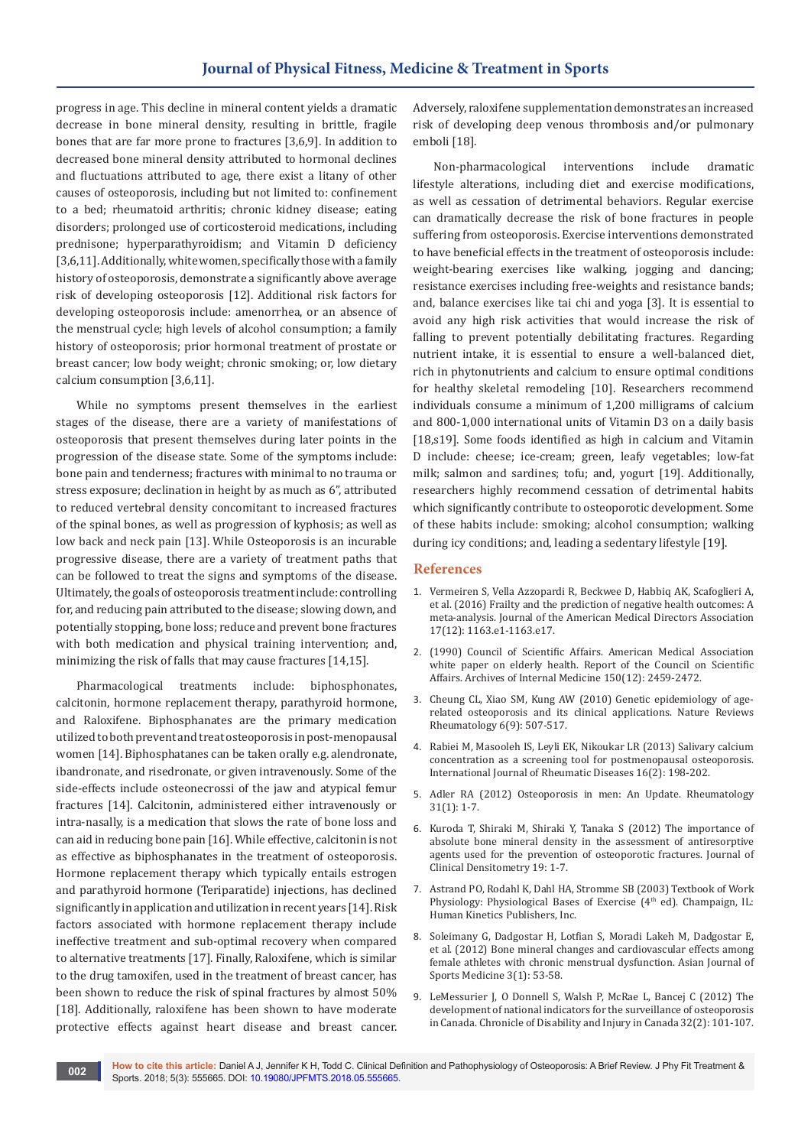progress in age. This decline in mineral content yields a dramatic decrease in bone mineral density, resulting in brittle, fragile bones that are far more prone to fractures [3,6,9]. In addition to decreased bone mineral density attributed to hormonal declines and fluctuations attributed to age, there exist a litany of other causes of osteoporosis, including but not limited to: confinement to a bed; rheumatoid arthritis; chronic kidney disease; eating disorders; prolonged use of corticosteroid medications, including prednisone; hyperparathyroidism; and Vitamin D deficiency [3,6,11]. Additionally, white women, specifically those with a family history of osteoporosis, demonstrate a significantly above average risk of developing osteoporosis [12]. Additional risk factors for developing osteoporosis include: amenorrhea, or an absence of the menstrual cycle; high levels of alcohol consumption; a family history of osteoporosis; prior hormonal treatment of prostate or breast cancer; low body weight; chronic smoking; or, low dietary calcium consumption [3,6,11].

While no symptoms present themselves in the earliest stages of the disease, there are a variety of manifestations of osteoporosis that present themselves during later points in the progression of the disease state. Some of the symptoms include: bone pain and tenderness; fractures with minimal to no trauma or stress exposure; declination in height by as much as 6", attributed to reduced vertebral density concomitant to increased fractures of the spinal bones, as well as progression of kyphosis; as well as low back and neck pain [13]. While Osteoporosis is an incurable progressive disease, there are a variety of treatment paths that can be followed to treat the signs and symptoms of the disease. Ultimately, the goals of osteoporosis treatment include: controlling for, and reducing pain attributed to the disease; slowing down, and potentially stopping, bone loss; reduce and prevent bone fractures with both medication and physical training intervention; and, minimizing the risk of falls that may cause fractures [14,15].

Pharmacological treatments include: biphosphonates, calcitonin, hormone replacement therapy, parathyroid hormone, and Raloxifene. Biphosphanates are the primary medication utilized to both prevent and treat osteoporosis in post-menopausal women [14]. Biphosphatanes can be taken orally e.g. alendronate, ibandronate, and risedronate, or given intravenously. Some of the side-effects include osteonecrossi of the jaw and atypical femur fractures [14]. Calcitonin, administered either intravenously or intra-nasally, is a medication that slows the rate of bone loss and can aid in reducing bone pain [16]. While effective, calcitonin is not as effective as biphosphanates in the treatment of osteoporosis. Hormone replacement therapy which typically entails estrogen and parathyroid hormone (Teriparatide) injections, has declined significantly in application and utilization in recent years [14]. Risk factors associated with hormone replacement therapy include ineffective treatment and sub-optimal recovery when compared to alternative treatments [17]. Finally, Raloxifene, which is similar to the drug tamoxifen, used in the treatment of breast cancer, has been shown to reduce the risk of spinal fractures by almost 50% [18]. Additionally, raloxifene has been shown to have moderate protective effects against heart disease and breast cancer. Adversely, raloxifene supplementation demonstrates an increased risk of developing deep venous thrombosis and/or pulmonary emboli [18].

Non-pharmacological interventions include dramatic lifestyle alterations, including diet and exercise modifications, as well as cessation of detrimental behaviors. Regular exercise can dramatically decrease the risk of bone fractures in people suffering from osteoporosis. Exercise interventions demonstrated to have beneficial effects in the treatment of osteoporosis include: weight-bearing exercises like walking, jogging and dancing; resistance exercises including free-weights and resistance bands; and, balance exercises like tai chi and yoga [3]. It is essential to avoid any high risk activities that would increase the risk of falling to prevent potentially debilitating fractures. Regarding nutrient intake, it is essential to ensure a well-balanced diet, rich in phytonutrients and calcium to ensure optimal conditions for healthy skeletal remodeling [10]. Researchers recommend individuals consume a minimum of 1,200 milligrams of calcium and 800-1,000 international units of Vitamin D3 on a daily basis [18,s19]. Some foods identified as high in calcium and Vitamin D include: cheese; ice-cream; green, leafy vegetables; low-fat milk; salmon and sardines; tofu; and, yogurt [19]. Additionally, researchers highly recommend cessation of detrimental habits which significantly contribute to osteoporotic development. Some of these habits include: smoking; alcohol consumption; walking during icy conditions; and, leading a sedentary lifestyle [19].

# **References**

- 1. [Vermeiren S, Vella Azzopardi R, Beckwee D, Habbiq AK, Scafoglieri A,](https://www.ncbi.nlm.nih.gov/pubmed/27886869)  [et al. \(2016\) Frailty and the prediction of negative health outcomes: A](https://www.ncbi.nlm.nih.gov/pubmed/27886869)  [meta-analysis. Journal of the American Medical Directors Association](https://www.ncbi.nlm.nih.gov/pubmed/27886869)  [17\(12\): 1163.e1-1163.e17.](https://www.ncbi.nlm.nih.gov/pubmed/27886869)
- 2. [\(1990\) Council of Scientific Affairs. American Medical Association](https://www.ncbi.nlm.nih.gov/pubmed/2288622v)  [white paper on elderly health. Report of the Council on Scientific](https://www.ncbi.nlm.nih.gov/pubmed/2288622v)  [Affairs. Archives of Internal Medicine 150\(12\): 2459-2472.](https://www.ncbi.nlm.nih.gov/pubmed/2288622v)
- 3. [Cheung CL, Xiao SM, Kung AW \(2010\) Genetic epidemiology of age](https://www.nature.com/articles/nrrheum.2010.106)[related osteoporosis and its clinical applications. Nature Reviews](https://www.nature.com/articles/nrrheum.2010.106)  [Rheumatology 6\(9\): 507-517.](https://www.nature.com/articles/nrrheum.2010.106)
- 4. [Rabiei M, Masooleh IS, Leyli EK, Nikoukar LR \(2013\) Salivary calcium](https://www.ncbi.nlm.nih.gov/pubmed/23773645)  [concentration as a screening tool for postmenopausal osteoporosis.](https://www.ncbi.nlm.nih.gov/pubmed/23773645)  [International Journal of Rheumatic Diseases 16\(2\): 198-202.](https://www.ncbi.nlm.nih.gov/pubmed/23773645)
- 5. Adler RA (2012) Osteoporosis in men: An Update. Rheumatology 31(1): 1-7.
- 6. Kuroda T, Shiraki M, Shiraki Y, Tanaka S (2012) The importance of absolute bone mineral density in the assessment of antiresorptive agents used for the prevention of osteoporotic fractures. Journal of Clinical Densitometry 19: 1-7.
- 7. Astrand PO, Rodahl K, Dahl HA, Stromme SB (2003) Textbook of Work Physiology: Physiological Bases of Exercise (4<sup>th</sup> ed). Champaign, IL: Human Kinetics Publishers, Inc.
- 8. [Soleimany G, Dadgostar H, Lotfian S, Moradi Lakeh M, Dadgostar E,](https://www.ncbi.nlm.nih.gov/pmc/articles/PMC3307967/)  [et al. \(2012\) Bone mineral changes and cardiovascular effects among](https://www.ncbi.nlm.nih.gov/pmc/articles/PMC3307967/)  [female athletes with chronic menstrual dysfunction. Asian Journal of](https://www.ncbi.nlm.nih.gov/pmc/articles/PMC3307967/)  [Sports Medicine 3\(1\): 53-58.](https://www.ncbi.nlm.nih.gov/pmc/articles/PMC3307967/)
- 9. [LeMessurier J, O Donnell S, Walsh P, McRae L, Bancej C \(2012\) The](https://www.ncbi.nlm.nih.gov/pubmed/22414307)  [development of national indicators for the surveillance of osteoporosis](https://www.ncbi.nlm.nih.gov/pubmed/22414307)  [in Canada. Chronicle of Disability and Injury in Canada 32\(2\): 101-107.](https://www.ncbi.nlm.nih.gov/pubmed/22414307)